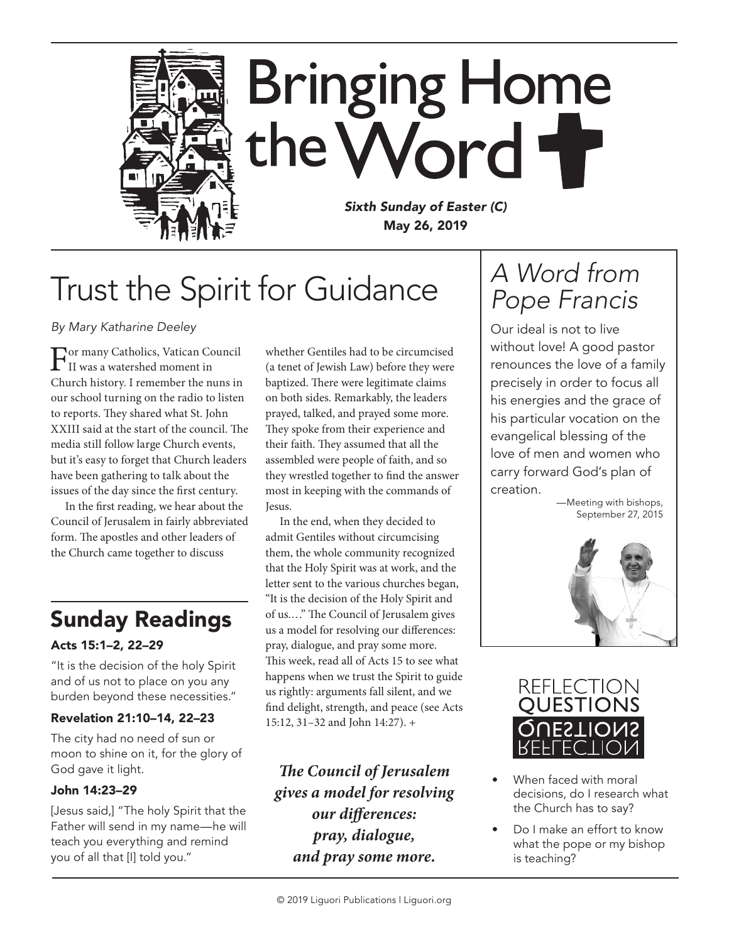

# Trust the Spirit for Guidance

*By Mary Katharine Deeley*

For many Catholics, Vatican Council<br>II was a watershed moment in Church history. I remember the nuns in our school turning on the radio to listen to reports. They shared what St. John XXIII said at the start of the council. The media still follow large Church events, but it's easy to forget that Church leaders have been gathering to talk about the issues of the day since the first century.

In the first reading, we hear about the Council of Jerusalem in fairly abbreviated form. The apostles and other leaders of the Church came together to discuss

### Sunday Readings

#### Acts 15:1–2, 22–29

"It is the decision of the holy Spirit and of us not to place on you any burden beyond these necessities."

#### Revelation 21:10–14, 22–23

The city had no need of sun or moon to shine on it, for the glory of God gave it light.

#### John 14:23–29

[Jesus said,] "The holy Spirit that the Father will send in my name—he will teach you everything and remind you of all that [I] told you."

whether Gentiles had to be circumcised (a tenet of Jewish Law) before they were baptized. There were legitimate claims on both sides. Remarkably, the leaders prayed, talked, and prayed some more. They spoke from their experience and their faith. They assumed that all the assembled were people of faith, and so they wrestled together to find the answer most in keeping with the commands of Jesus.

In the end, when they decided to admit Gentiles without circumcising them, the whole community recognized that the Holy Spirit was at work, and the letter sent to the various churches began, "It is the decision of the Holy Spirit and of us.…" The Council of Jerusalem gives us a model for resolving our differences: pray, dialogue, and pray some more. This week, read all of Acts 15 to see what happens when we trust the Spirit to guide us rightly: arguments fall silent, and we find delight, strength, and peace (see Acts 15:12, 31–32 and John 14:27). +

*The Council of Jerusalem gives a model for resolving our differences: pray, dialogue, and pray some more.*

## *A Word from Pope Francis*

Our ideal is not to live without love! A good pastor renounces the love of a family precisely in order to focus all his energies and the grace of his particular vocation on the evangelical blessing of the love of men and women who carry forward God's plan of creation.

—Meeting with bishops, September 27, 2015





- When faced with moral decisions, do I research what the Church has to say?
- Do I make an effort to know what the pope or my bishop is teaching?